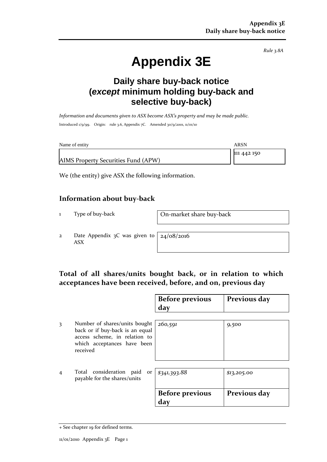*Rule 3.8A*

# **Appendix 3E**

## **Daily share buy-back notice (***except* **minimum holding buy-back and selective buy-back)**

*Information and documents given to ASX become ASX's property and may be made public.* Introduced 1/9/99. Origin: rule 3.6, Appendix 7C. Amended 30/9/2001, 11/01/10

| Name of entity                      | ARSN        |
|-------------------------------------|-------------|
| AIMS Property Securities Fund (APW) | 111 442 150 |
|                                     |             |

We (the entity) give ASX the following information.

#### **Information about buy-back**

1 Type of buy-back On-market share buy-back

2 Date Appendix 3C was given to ASX

24/08/2016

### **Total of all shares/units bought back, or in relation to which acceptances have been received, before, and on, previous day**

|   |                                                                                                                                              | <b>Before previous</b><br>day | Previous day |
|---|----------------------------------------------------------------------------------------------------------------------------------------------|-------------------------------|--------------|
| 3 | Number of shares/units bought<br>back or if buy-back is an equal<br>access scheme, in relation to<br>which acceptances have been<br>received | 260,591                       | 9,500        |
|   | Total consideration paid or<br>payable for the shares/units                                                                                  | \$341,393.88                  | \$13,205.00  |
|   |                                                                                                                                              | <b>Before previous</b><br>day | Previous day |

<sup>+</sup> See chapter 19 for defined terms.